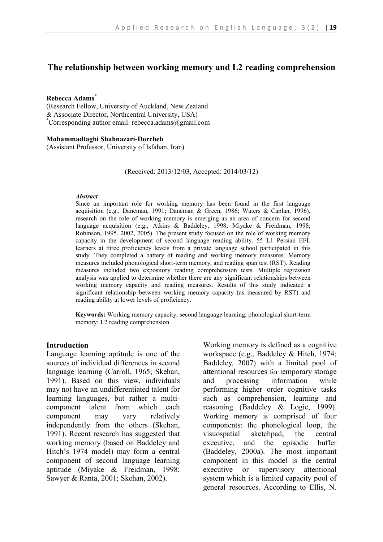# **The relationship between working memory and L2 reading comprehension**

#### **Rebecca Adams**\*

(Research Fellow, University of Auckland, New Zealand & Associate Director, Northcentral University, USA) \*Corresponding author email: rebecca.adams@gmail.com

#### **Mohammadtaghi Shahnazari-Dorcheh**

(Assistant Professor, University of Isfahan, Iran)

(Received: 2013/12/03, Accepted: 2014/03/12)

#### *Abstract*

Since an important role for working memory has been found in the first language acquisition (e.g., Daneman, 1991; Daneman & Green, 1986; Waters & Caplan, 1996), research on the role of working memory is emerging as an area of concern for second language acquisition (e.g., Atkins & Baddeley, 1998; Miyake & Freidman, 1998; Robinson, 1995, 2002, 2005). The present study focused on the role of working memory capacity in the development of second language reading ability. 55 L1 Persian EFL learners at three proficiency levels from a private language school participated in this study. They completed a battery of reading and working memory measures. Memory measures included phonological short-term memory, and reading span test (RST). Reading measures included two expository reading comprehension tests. Multiple regression analysis was applied to determine whether there are any significant relationships between working memory capacity and reading measures. Results of this study indicated a significant relationship between working memory capacity (as measured by RST) and reading ability at lower levels of proficiency.

**Keywords:** Working memory capacity; second language learning; phonological short-term memory; L2 reading comprehension

### **Introduction**

Language learning aptitude is one of the sources of individual differences in second language learning (Carroll, 1965; Skehan, 1991). Based on this view, individuals may not have an undifferentiated talent for learning languages, but rather a multicomponent talent from which each component may vary relatively independently from the others (Skehan, 1991). Recent research has suggested that working memory (based on Baddeley and Hitch's 1974 model) may form a central component of second language learning aptitude (Miyake & Freidman, 1998; Sawyer & Ranta, 2001; Skehan, 2002).

Working memory is defined as a cognitive workspace (e.g., Baddeley & Hitch, 1974; Baddeley, 2007) with a limited pool of attentional resources for temporary storage and processing information while performing higher order cognitive tasks such as comprehension, learning and reasoning (Baddeley & Logie, 1999). Working memory is comprised of four components: the phonological loop, the visuospatial sketchpad, the central executive, and the episodic buffer (Baddeley, 2000a). The most important component in this model is the central executive or supervisory attentional system which is a limited capacity pool of general resources. According to Ellis, N.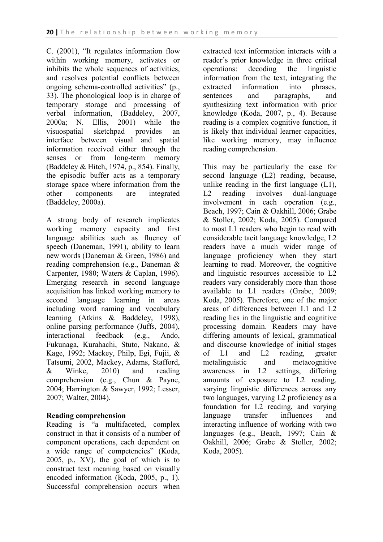C. (2001), "It regulates information flow within working memory, activates or inhibits the whole sequences of activities, and resolves potential conflicts between ongoing schema-controlled activities" (p., 33). The phonological loop is in charge of temporary storage and processing of verbal information, (Baddeley, 2007, 2000a; N. Ellis, 2001) while the visuospatial sketchpad provides an interface between visual and spatial information received either through the senses or from long-term memory (Baddeley  $& Hitch, 1974, p., 854$ ). Finally, the episodic buffer acts as a temporary storage space where information from the other components are integrated (Baddeley, 2000a).

A strong body of research implicates working memory capacity and first language abilities such as fluency of speech (Daneman, 1991), ability to learn new words (Daneman & Green, 1986) and reading comprehension (e.g., Daneman & Carpenter, 1980; Waters & Caplan, 1996). Emerging research in second language acquisition has linked working memory to second language learning in areas including word naming and vocabulary learning (Atkins & Baddeley, 1998), online parsing performance (Juffs, 2004), interactional feedback (e.g., Ando, Fukunaga, Kurahachi, Stuto, Nakano, & Kage, 1992; Mackey, Philp, Egi, Fujii, & Tatsumi, 2002, Mackey, Adams, Stafford, & Winke, 2010) and reading comprehension (e.g., Chun & Payne, 2004; Harrington & Sawyer, 1992; Lesser, 2007; Walter, 2004).

# **Reading comprehension**

Reading is "a multifaceted, complex construct in that it consists of a number of component operations, each dependent on a wide range of competencies" (Koda, 2005, p., XV), the goal of which is to construct text meaning based on visually encoded information (Koda, 2005, p., 1). Successful comprehension occurs when extracted text information interacts with a reader's prior knowledge in three critical operations: decoding the linguistic information from the text, integrating the extracted information into phrases, sentences and paragraphs, and synthesizing text information with prior knowledge (Koda, 2007, p., 4). Because reading is a complex cognitive function, it is likely that individual learner capacities, like working memory, may influence reading comprehension.

This may be particularly the case for second language (L2) reading, because, unlike reading in the first language (L1), L2 reading involves dual-language involvement in each operation (e.g., Beach, 1997; Cain & Oakhill, 2006; Grabe & Stoller, 2002; Koda, 2005). Compared to most L1 readers who begin to read with considerable tacit language knowledge, L2 readers have a much wider range of language proficiency when they start learning to read. Moreover, the cognitive and linguistic resources accessible to L2 readers vary considerably more than those available to L1 readers (Grabe, 2009; Koda, 2005). Therefore, one of the major areas of differences between L1 and L2 reading lies in the linguistic and cognitive processing domain. Readers may have differing amounts of lexical, grammatical and discourse knowledge of initial stages of L1 and L2 reading, greater metalinguistic and metacognitive awareness in L2 settings, differing amounts of exposure to L2 reading, varying linguistic differences across any two languages, varying L2 proficiency as a foundation for L2 reading, and varying language transfer influences and interacting influence of working with two languages (e.g., Beach, 1997; Cain & Oakhill, 2006; Grabe & Stoller, 2002; Koda, 2005).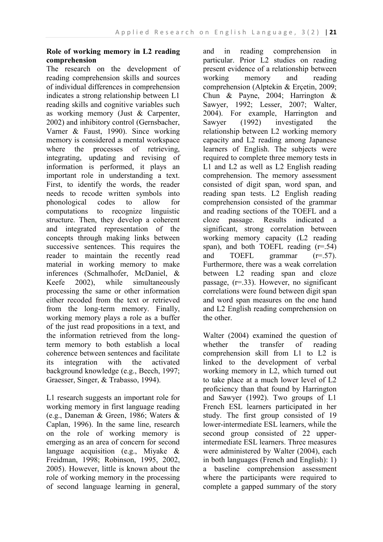# **Role of working memory in L2 reading comprehension**

The research on the development of reading comprehension skills and sources of individual differences in comprehension indicates a strong relationship between L1 reading skills and cognitive variables such as working memory (Just & Carpenter, 2002) and inhibitory control (Gernsbacher, Varner & Faust, 1990). Since working memory is considered a mental workspace where the processes of retrieving, integrating, updating and revising of information is performed, it plays an important role in understanding a text. First, to identify the words, the reader needs to recode written symbols into phonological codes to allow for computations to recognize linguistic structure. Then, they develop a coherent and integrated representation of the concepts through making links between successive sentences. This requires the reader to maintain the recently read material in working memory to make inferences (Schmalhofer, McDaniel, & Keefe 2002), while simultaneously processing the same or other information either recoded from the text or retrieved from the long-term memory. Finally, working memory plays a role as a buffer of the just read propositions in a text, and the information retrieved from the longterm memory to both establish a local coherence between sentences and facilitate its integration with the activated background knowledge (e.g., Beech, 1997; Graesser, Singer, & Trabasso, 1994).

L1 research suggests an important role for working memory in first language reading (e.g., Daneman & Green, 1986; Waters & Caplan, 1996). In the same line, research on the role of working memory is emerging as an area of concern for second language acquisition (e.g., Miyake & Freidman, 1998; Robinson, 1995, 2002, 2005). However, little is known about the role of working memory in the processing of second language learning in general, and in reading comprehension in particular. Prior L2 studies on reading present evidence of a relationship between working memory and reading comprehension (Alptekin & Erçetin, 2009; Chun & Payne, 2004; Harrington & Sawyer, 1992; Lesser, 2007; Walter, 2004). For example, Harrington and Sawyer (1992) investigated the relationship between L2 working memory capacity and L2 reading among Japanese learners of English. The subjects were required to complete three memory tests in L1 and L2 as well as L2 English reading comprehension. The memory assessment consisted of digit span, word span, and reading span tests. L2 English reading comprehension consisted of the grammar and reading sections of the TOEFL and a cloze passage. Results indicated a significant, strong correlation between working memory capacity (L2 reading span), and both TOEFL reading  $(r=.54)$ and TOEFL grammar (r=.57). Furthermore, there was a weak correlation between L2 reading span and cloze passage, (r=.33). However, no significant correlations were found between digit span and word span measures on the one hand and L2 English reading comprehension on the other.

Walter (2004) examined the question of whether the transfer of reading comprehension skill from L1 to L2 is linked to the development of verbal working memory in L2, which turned out to take place at a much lower level of L2 proficiency than that found by Harrington and Sawyer (1992). Two groups of L1 French ESL learners participated in her study. The first group consisted of 19 lower-intermediate ESL learners, while the second group consisted of 22 upperintermediate ESL learners. Three measures were administered by Walter (2004), each in both languages (French and English): 1) a baseline comprehension assessment where the participants were required to complete a gapped summary of the story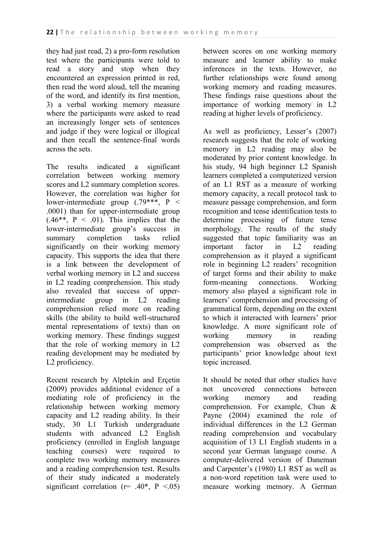they had just read, 2) a pro-form resolution test where the participants were told to read a story and stop when they encountered an expression printed in red, then read the word aloud, tell the meaning of the word, and identify its first mention, 3) a verbal working memory measure where the participants were asked to read an increasingly longer sets of sentences and judge if they were logical or illogical and then recall the sentence-final words across the sets.

The results indicated a significant correlation between working memory scores and L2 summary completion scores. However, the correlation was higher for lower-intermediate group (.79\*\*\*, P < .0001) than for upper-intermediate group  $(.46**, P < .01)$ . This implies that the lower-intermediate group's success in summary completion tasks relied significantly on their working memory capacity. This supports the idea that there is a link between the development of verbal working memory in L2 and success in L2 reading comprehension. This study also revealed that success of upperintermediate group in L2 reading comprehension relied more on reading skills (the ability to build well-structured mental representations of texts) than on working memory. These findings suggest that the role of working memory in L2 reading development may be mediated by L2 proficiency.

Recent research by Alptekin and Erçetin (2009) provides additional evidence of a mediating role of proficiency in the relationship between working memory capacity and L2 reading ability. In their study, 30 L1 Turkish undergraduate students with advanced L2 English proficiency (enrolled in English language teaching courses) were required to complete two working memory measures and a reading comprehension test. Results of their study indicated a moderately significant correlation ( $r = .40^*$ ,  $P < .05$ )

between scores on one working memory measure and learner ability to make inferences in the texts. However, no further relationships were found among working memory and reading measures. These findings raise questions about the importance of working memory in L2 reading at higher levels of proficiency.

As well as proficiency, Lesser's (2007) research suggests that the role of working memory in L2 reading may also be moderated by prior content knowledge. In his study, 94 high beginner L2 Spanish learners completed a computerized version of an L1 RST as a measure of working memory capacity, a recall protocol task to measure passage comprehension, and form recognition and tense identification tests to determine processing of future tense morphology. The results of the study suggested that topic familiarity was an important factor in L2 reading comprehension as it played a significant role in beginning L2 readers' recognition of target forms and their ability to make form-meaning connections. Working memory also played a significant role in learners' comprehension and processing of grammatical form, depending on the extent to which it interacted with learners' prior knowledge. A more significant role of working memory in reading comprehension was observed as the participants' prior knowledge about text topic increased.

It should be noted that other studies have not uncovered connections between working memory and reading comprehension. For example, Chun & Payne (2004) examined the role of individual differences in the L2 German reading comprehension and vocabulary acquisition of 13 L1 English students in a second year German language course. A computer-delivered version of Daneman and Carpenter's (1980) L1 RST as well as a non-word repetition task were used to measure working memory. A German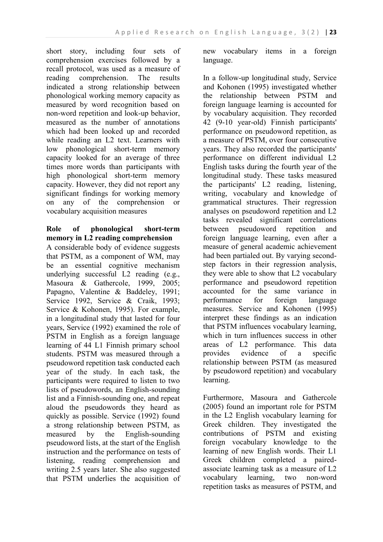short story, including four sets of comprehension exercises followed by a recall protocol, was used as a measure of reading comprehension. The results indicated a strong relationship between phonological working memory capacity as measured by word recognition based on non-word repetition and look-up behavior, measured as the number of annotations which had been looked up and recorded while reading an L2 text. Learners with low phonological short-term memory capacity looked for an average of three times more words than participants with high phonological short-term memory capacity. However, they did not report any significant findings for working memory on any of the comprehension or vocabulary acquisition measures

## **Role of phonological short-term memory in L2 reading comprehension**

A considerable body of evidence suggests that PSTM, as a component of WM, may be an essential cognitive mechanism underlying successful L2 reading (e.g., Masoura & Gathercole, 1999, 2005; Papagno, Valentine & Baddeley, 1991; Service 1992, Service & Craik, 1993; Service & Kohonen, 1995). For example, in a longitudinal study that lasted for four years, Service (1992) examined the role of PSTM in English as a foreign language learning of 44 L1 Finnish primary school students. PSTM was measured through a pseudoword repetition task conducted each year of the study. In each task, the participants were required to listen to two lists of pseudowords, an English-sounding list and a Finnish-sounding one, and repeat aloud the pseudowords they heard as quickly as possible. Service (1992) found a strong relationship between PSTM, as measured by the English-sounding pseudoword lists, at the start of the English instruction and the performance on tests of listening, reading comprehension and writing 2.5 years later. She also suggested that PSTM underlies the acquisition of

new vocabulary items in a foreign language.

In a follow-up longitudinal study, Service and Kohonen (1995) investigated whether the relationship between PSTM and foreign language learning is accounted for by vocabulary acquisition. They recorded 42 (9-10 year-old) Finnish participants' performance on pseudoword repetition, as a measure of PSTM, over four consecutive years. They also recorded the participants' performance on different individual L2 English tasks during the fourth year of the longitudinal study. These tasks measured the participants' L2 reading, listening, writing, vocabulary and knowledge of grammatical structures. Their regression analyses on pseudoword repetition and L2 tasks revealed significant correlations between pseudoword repetition and foreign language learning, even after a measure of general academic achievement had been partialed out. By varying secondstep factors in their regression analysis, they were able to show that L2 vocabulary performance and pseudoword repetition accounted for the same variance in performance for foreign language measures. Service and Kohonen (1995) interpret these findings as an indication that PSTM influences vocabulary learning, which in turn influences success in other areas of L2 performance. This data provides evidence of a specific relationship between PSTM (as measured by pseudoword repetition) and vocabulary learning.

Furthermore, Masoura and Gathercole (2005) found an important role for PSTM in the L2 English vocabulary learning for Greek children. They investigated the contributions of PSTM and existing foreign vocabulary knowledge to the learning of new English words. Their L1 Greek children completed a pairedassociate learning task as a measure of L2 vocabulary learning, two non-word repetition tasks as measures of PSTM, and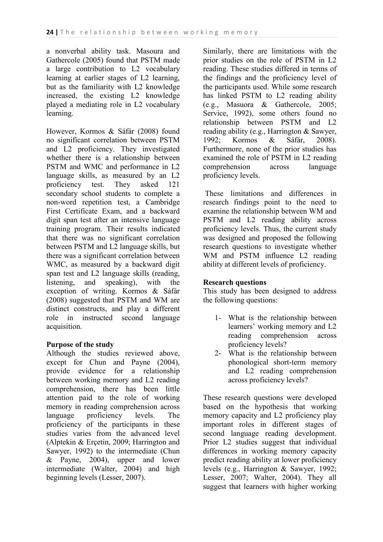a nonverbal ability task. Masoura and Gathercole (2005) found that PSTM made a large contribution to L2 vocabulary learning at earlier stages of L2 learning, but as the familiarity with L2 knowledge increased, the existing L2 knowledge played a mediating role in L2 vocabulary learning.

However, Kormos & Sáfár (2008) found no significant correlation between PSTM and L2 proficiency. They investigated whether there is a relationship between PSTM and WMC and performance in L2 language skills, as measured by an L2 proficiency test. They asked 121 secondary school students to complete a non-word repetition test, a Cambridge First Certificate Exam, and a backward digit span test after an intensive language training program. Their results indicated that there was no significant correlation between PSTM and L2 language skills, but there was a significant correlation between WMC, as measured by a backward digit span test and L2 language skills (reading, listening, and speaking), with the exception of writing. Kormos & Sáfár (2008) suggested that PSTM and WM are distinct constructs, and play a different role in instructed second language acquisition.

# **Purpose of the study**

Although the studies reviewed above, except for Chun and Payne (2004), provide evidence for a relationship between working memory and L2 reading comprehension, there has been little attention paid to the role of working memory in reading comprehension across language proficiency levels. The proficiency of the participants in these studies varies from the advanced level (Alptekin & Erçetin, 2009; Harrington and Sawyer, 1992) to the intermediate (Chun & Payne, 2004), upper and lower intermediate (Walter, 2004) and high beginning levels (Lesser, 2007).

Similarly, there are limitations with the prior studies on the role of PSTM in L2 reading. These studies differed in terms of the findings and the proficiency level of the participants used. While some research has linked PSTM to L2 reading ability (e.g., Masuora & Gathercole, 2005; Service, 1992), some others found no relationship between PSTM and L2 reading ability (e.g., Harrington & Sawyer, 1992; Kormos & Sáfár, 2008). Furthermore, none of the prior studies has examined the role of PSTM in L2 reading comprehension across language proficiency levels.

These limitations and differences in research findings point to the need to examine the relationship between WM and PSTM and L2 reading ability across proficiency levels. Thus, the current study was designed and proposed the following research questions to investigate whether WM and PSTM influence L2 reading ability at different levels of proficiency.

### **Research questions**

This study has been designed to address the following questions:

- 1- What is the relationship between learners' working memory and L2 reading comprehension across proficiency levels?
- 2- What is the relationship between phonological short-term memory and L2 reading comprehension across proficiency levels?

These research questions were developed based on the hypothesis that working memory capacity and L2 proficiency play important roles in different stages of second language reading development. Prior L2 studies suggest that individual differences in working memory capacity predict reading ability at lower proficiency levels (e.g., Harrington & Sawyer, 1992; Lesser, 2007; Walter, 2004). They all suggest that learners with higher working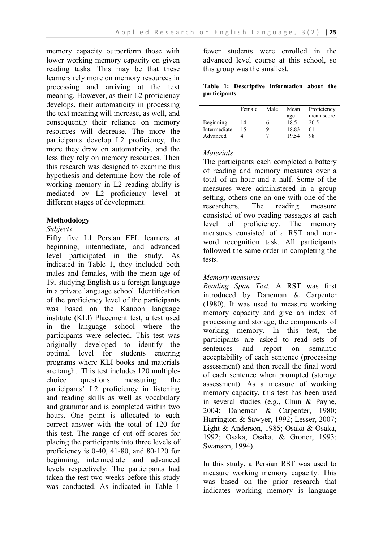memory capacity outperform those with lower working memory capacity on given reading tasks. This may be that these learners rely more on memory resources in processing and arriving at the text meaning. However, as their L2 proficiency develops, their automaticity in processing the text meaning will increase, as well, and consequently their reliance on memory resources will decrease. The more the participants develop L2 proficiency, the more they draw on automaticity, and the less they rely on memory resources. Then this research was designed to examine this hypothesis and determine how the role of working memory in L2 reading ability is mediated by L2 proficiency level at different stages of development.

### **Methodology**

### *Subjects*

Fifty five L1 Persian EFL learners at beginning, intermediate, and advanced level participated in the study. As indicated in Table 1, they included both males and females, with the mean age of 19, studying English as a foreign language in a private language school. Identification of the proficiency level of the participants was based on the Kanoon language institute (KLI) Placement test, a test used in the language school where the participants were selected. This test was originally developed to identify the optimal level for students entering programs where KLI books and materials are taught. This test includes 120 multiplechoice questions measuring the participants' L2 proficiency in listening and reading skills as well as vocabulary and grammar and is completed within two hours. One point is allocated to each correct answer with the total of 120 for this test. The range of cut off scores for placing the participants into three levels of proficiency is 0-40, 41-80, and 80-120 for beginning, intermediate and advanced levels respectively. The participants had taken the test two weeks before this study was conducted. As indicated in Table 1

fewer students were enrolled in the advanced level course at this school, so this group was the smallest.

### **Table 1: Descriptive information about the participants**

|              | Female | Male | Mean  | Proficiency |  |
|--------------|--------|------|-------|-------------|--|
|              |        |      | age   | mean score  |  |
| Beginning    | 14     | n    | 18.5  | 26.5        |  |
| Intermediate | 15     | Q    | 18.83 | 61          |  |
| Advanced     |        |      | 19.54 | 98          |  |

### *Materials*

The participants each completed a battery of reading and memory measures over a total of an hour and a half. Some of the measures were administered in a group setting, others one-on-one with one of the researchers. The reading measure consisted of two reading passages at each level of proficiency. The memory measures consisted of a RST and nonword recognition task. All participants followed the same order in completing the tests.

# *Memory measures*

*Reading Span Test.* A RST was first introduced by Daneman & Carpenter (1980). It was used to measure working memory capacity and give an index of processing and storage, the components of working memory. In this test, the participants are asked to read sets of sentences and report on semantic acceptability of each sentence (processing assessment) and then recall the final word of each sentence when prompted (storage assessment). As a measure of working memory capacity, this test has been used in several studies (e.g., Chun & Payne, 2004; Daneman & Carpenter, 1980; Harrington & Sawyer, 1992; Lesser, 2007; Light & Anderson, 1985; Osaka & Osaka, 1992; Osaka, Osaka, & Groner, 1993; Swanson, 1994).

In this study, a Persian RST was used to measure working memory capacity. This was based on the prior research that indicates working memory is language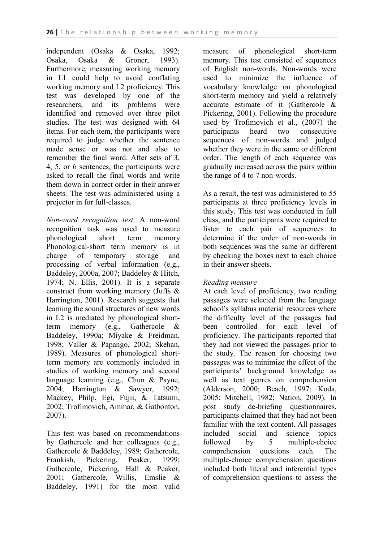independent (Osaka & Osaka, 1992; Osaka, Osaka & Groner, 1993). Furthermore, measuring working memory in L1 could help to avoid conflating working memory and L2 proficiency. This test was developed by one of the researchers, and its problems were identified and removed over three pilot studies. The test was designed with 64 items. For each item, the participants were required to judge whether the sentence made sense or was not and also to remember the final word. After sets of 3, 4, 5, or 6 sentences, the participants were asked to recall the final words and write them down in correct order in their answer sheets. The test was administered using a projector in for full-classes.

*Non-word recognition test*. A non-word recognition task was used to measure phonological short term memory Phonological-short term memory is in charge of temporary storage and processing of verbal information (e.g., Baddeley, 2000a, 2007; Baddeley & Hitch, 1974; N. Ellis, 2001). It is a separate construct from working memory (Juffs & Harrington, 2001). Research suggests that learning the sound structures of new words in L2 is mediated by phonological shortterm memory (e.g., Gathercole & Baddeley, 1990a; Miyake & Freidman, 1998; Valler & Papango, 2002; Skehan, 1989). Measures of phonological shortterm memory are commonly included in studies of working memory and second language learning (e.g., Chun & Payne, 2004; Harrington & Sawyer, 1992; Mackey, Philp, Egi, Fujii, & Tatsumi, 2002; Trofimovich, Ammar, & Gatbonton, 2007).

This test was based on recommendations by Gathercole and her colleagues (e.g., Gathercole & Baddeley, 1989; Gathercole, Frankish, Pickering, Peaker, 1999; Gathercole, Pickering, Hall & Peaker, 2001; Gathercole, Willis, Emslie & Baddeley, 1991) for the most valid measure of phonological short-term memory. This test consisted of sequences of English non-words. Non-words were used to minimize the influence of vocabulary knowledge on phonological short-term memory and yield a relatively accurate estimate of it (Gathercole & Pickering, 2001). Following the procedure used by Trofimovich et al., (2007) the participants heard two consecutive sequences of non-words and judged whether they were in the same or different order. The length of each sequence was gradually increased across the pairs within the range of 4 to 7 non-words.

As a result, the test was administered to 55 participants at three proficiency levels in this study. This test was conducted in full class, and the participants were required to listen to each pair of sequences to determine if the order of non-words in both sequences was the same or different by checking the boxes next to each choice in their answer sheets.

# *Reading measure*

At each level of proficiency, two reading passages were selected from the language school's syllabus material resources where the difficulty level of the passages had been controlled for each level of proficiency. The participants reported that they had not viewed the passages prior to the study. The reason for choosing two passages was to minimize the effect of the participants' background knowledge as well as text genres on comprehension (Alderson, 2000; Beach, 1997; Koda, 2005; Mitchell, 1982; Nation, 2009). In post study de-briefing questionnaires, participants claimed that they had not been familiar with the text content. All passages included social and science topics followed by 5 multiple-choice comprehension questions each. The multiple-choice comprehension questions included both literal and inferential types of comprehension questions to assess the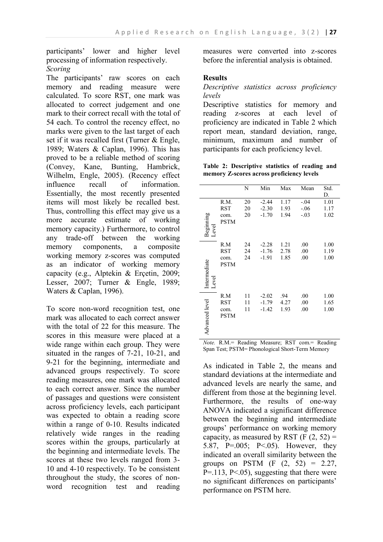participants' lower and higher level processing of information respectively. *Scoring*

The participants' raw scores on each memory and reading measure were calculated. To score RST, one mark was allocated to correct judgement and one mark to their correct recall with the total of 54 each. To control the recency effect, no marks were given to the last target of each set if it was recalled first (Turner & Engle, 1989; Waters & Caplan, 1996). This has proved to be a reliable method of scoring (Convey, Kane, Bunting, Hambrick, Wilhelm, Engle, 2005). (Recency effect influence recall of information. Essentially, the most recently presented items will most likely be recalled best. Thus, controlling this effect may give us a more accurate estimate of working memory capacity.) Furthermore, to control any trade-off between the working memory components, a composite working memory z-scores was computed as an indicator of working memory capacity (e.g., Alptekin & Erçetin, 2009; Lesser, 2007; Turner & Engle, 1989; Waters & Caplan, 1996).

To score non-word recognition test, one mark was allocated to each correct answer with the total of 22 for this measure. The scores in this measure were placed at a wide range within each group. They were situated in the ranges of 7-21, 10-21, and 9-21 for the beginning, intermediate and advanced groups respectively. To score reading measures, one mark was allocated to each correct answer. Since the number of passages and questions were consistent across proficiency levels, each participant was expected to obtain a reading score within a range of 0-10. Results indicated relatively wide ranges in the reading scores within the groups, particularly at the beginning and intermediate levels. The scores at these two levels ranged from 3- 10 and 4-10 respectively. To be consistent throughout the study, the scores of nonword recognition test and reading

measures were converted into z-scores before the inferential analysis is obtained.

### **Results**

*Descriptive statistics across proficiency levels*

Descriptive statistics for memory and reading z-scores at each level of proficiency are indicated in Table 2 which report mean, standard deviation, range, minimum, maximum and number of participants for each proficiency level.

**Table 2: Descriptive statistics of reading and memory Z-scores across proficiency levels**

|                       |                                           | N              | Min                           | Max                  | Mean                       | Std.<br>D.           |
|-----------------------|-------------------------------------------|----------------|-------------------------------|----------------------|----------------------------|----------------------|
| Beginning<br>Level    | R.M.<br><b>RST</b><br>com.<br><b>PSTM</b> | 20<br>20<br>20 | $-2.44$<br>$-2.30$<br>$-1.70$ | 1.17<br>1.93<br>1.94 | $-.04$<br>$-.06$<br>$-.03$ | 1.01<br>1.17<br>1.02 |
| Intermediate<br>Level | R.M<br>RST<br>com.<br><b>PSTM</b>         | 24<br>24<br>24 | $-2.28$<br>$-1.76$<br>$-1.91$ | 1.21<br>2.78<br>1.85 | .00<br>.00<br>.00          | 1.00<br>1.19<br>1.00 |
| Advanced level        | R.M<br>RST<br>com.<br><b>PSTM</b>         | 11<br>11<br>11 | $-2.02$<br>$-1.79$<br>$-1.42$ | .94<br>4.27<br>1.93  | .00<br>.00<br>.00          | 1.00<br>1.65<br>1.00 |

*Note.* R.M.= Reading Measure; RST com.= Reading Span Test; PSTM= Phonological Short-Term Memory

As indicated in Table 2, the means and standard deviations at the intermediate and advanced levels are nearly the same, and different from those at the beginning level. Furthermore, the results of one-way ANOVA indicated a significant difference between the beginning and intermediate groups' performance on working memory capacity, as measured by RST (F  $(2, 52)$  = 5.87, P=.005; P<.05). However, they indicated an overall similarity between the groups on PSTM  $(F (2, 52) = 2.27,$  $P = 113$ ,  $P \le 05$ ), suggesting that there were no significant differences on participants' performance on PSTM here.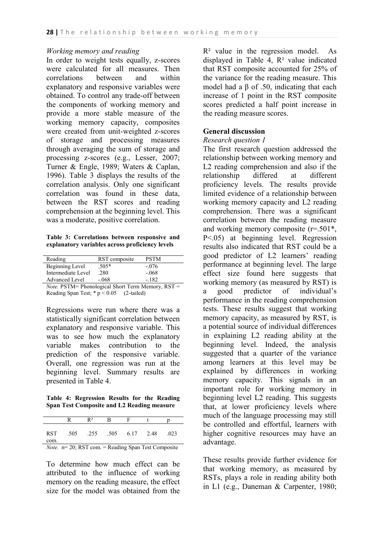#### *Working memory and reading*

In order to weight tests equally, z-scores were calculated for all measures. Then correlations between and within explanatory and responsive variables were obtained. To control any trade-off between the components of working memory and provide a more stable measure of the working memory capacity, composites were created from unit-weighted z-scores of storage and processing measures through averaging the sum of storage and processing z-scores (e.g., Lesser, 2007; Turner & Engle, 1989; Waters & Caplan, 1996). Table 3 displays the results of the correlation analysis. Only one significant correlation was found in these data, between the RST scores and reading comprehension at the beginning level. This was a moderate, positive correlation.

**Table 3: Correlations between responsive and explanatory variables across proficiency levels**

| Reading               | RST composite | <b>PSTM</b> |
|-----------------------|---------------|-------------|
| Beginning Level       | $.505*$       | $-076$      |
| Intermediate Level    | .280          | $-.068$     |
| <b>Advanced Level</b> | $-.068$       | $-182$      |

*Note.* PSTM= Phonological Short Term Memory, RST = Reading Span Test;  $* p < 0.05$  (2-tailed)

Regressions were run where there was a statistically significant correlation between explanatory and responsive variable. This was to see how much the explanatory variable makes contribution to the prediction of the responsive variable. Overall, one regression was run at the beginning level. Summary results are presented in Table 4.

**Table 4: Regression Results for the Reading Span Test Composite and L2 Reading measure** 

|             | $R^2$                    |  |      |
|-------------|--------------------------|--|------|
| RST<br>com. | .505 .255 .505 6.17 2.48 |  | .023 |

*Note.* n= 20; RST com. = Reading Span Test Composite

To determine how much effect can be attributed to the influence of working memory on the reading measure, the effect size for the model was obtained from the  $R<sup>2</sup>$  value in the regression model. As displayed in Table 4, R² value indicated that RST composite accounted for 25% of the variance for the reading measure. This model had a  $\beta$  of .50, indicating that each increase of 1 point in the RST composite scores predicted a half point increase in the reading measure scores.

### **General discussion**

#### *Research question 1*

The first research question addressed the relationship between working memory and L2 reading comprehension and also if the relationship differed at different proficiency levels. The results provide limited evidence of a relationship between working memory capacity and L2 reading comprehension. There was a significant correlation between the reading measure and working memory composite (r=.501\*, P<.05) at beginning level. Regression results also indicated that RST could be a good predictor of L2 learners' reading performance at beginning level. The large effect size found here suggests that working memory (as measured by RST) is a good predictor of individual's performance in the reading comprehension tests. These results suggest that working memory capacity, as measured by RST, is a potential source of individual differences in explaining L2 reading ability at the beginning level. Indeed, the analysis suggested that a quarter of the variance among learners at this level may be explained by differences in working memory capacity. This signals in an important role for working memory in beginning level L2 reading. This suggests that, at lower proficiency levels where much of the language processing may still be controlled and effortful, learners with higher cognitive resources may have an advantage.

These results provide further evidence for that working memory, as measured by RSTs, plays a role in reading ability both in L1 (e.g., Daneman & Carpenter, 1980;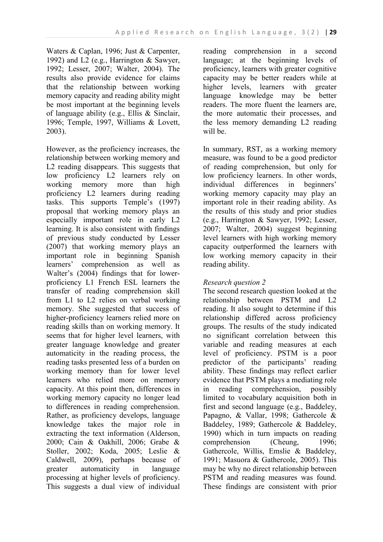Waters & Caplan, 1996; Just & Carpenter, 1992) and L2 (e.g., Harrington & Sawyer, 1992; Lesser, 2007; Walter, 2004). The results also provide evidence for claims that the relationship between working memory capacity and reading ability might be most important at the beginning levels of language ability (e.g., Ellis & Sinclair, 1996; Temple, 1997, Williams & Lovett, 2003).

However, as the proficiency increases, the relationship between working memory and L2 reading disappears. This suggests that low proficiency L2 learners rely on working memory more than high proficiency L2 learners during reading tasks. This supports Temple's (1997) proposal that working memory plays an especially important role in early L2 learning. It is also consistent with findings of previous study conducted by Lesser (2007) that working memory plays an important role in beginning Spanish learners' comprehension as well as Walter's (2004) findings that for lowerproficiency L1 French ESL learners the transfer of reading comprehension skill from L1 to L2 relies on verbal working memory. She suggested that success of higher-proficiency learners relied more on reading skills than on working memory. It seems that for higher level learners, with greater language knowledge and greater automaticity in the reading process, the reading tasks presented less of a burden on working memory than for lower level learners who relied more on memory capacity. At this point then, differences in working memory capacity no longer lead to differences in reading comprehension. Rather, as proficiency develops, language knowledge takes the major role in extracting the text information (Alderson, 2000; Cain & Oakhill, 2006; Grabe & Stoller, 2002; Koda, 2005; Leslie & Caldwell, 2009), perhaps because of greater automaticity in language processing at higher levels of proficiency. This suggests a dual view of individual

reading comprehension in a second language; at the beginning levels of proficiency, learners with greater cognitive capacity may be better readers while at higher levels, learners with greater language knowledge may be better readers. The more fluent the learners are, the more automatic their processes, and the less memory demanding L2 reading will be.

In summary, RST, as a working memory measure, was found to be a good predictor of reading comprehension, but only for low proficiency learners. In other words, individual differences in beginners' working memory capacity may play an important role in their reading ability. As the results of this study and prior studies (e.g., Harrington & Sawyer, 1992; Lesser, 2007; Walter, 2004) suggest beginning level learners with high working memory capacity outperformed the learners with low working memory capacity in their reading ability.

# *Research question 2*

The second research question looked at the relationship between PSTM and L2 reading. It also sought to determine if this relationship differed across proficiency groups. The results of the study indicated no significant correlation between this variable and reading measures at each level of proficiency. PSTM is a poor predictor of the participants' reading ability. These findings may reflect earlier evidence that PSTM plays a mediating role in reading comprehension, possibly limited to vocabulary acquisition both in first and second language (e.g., Baddeley, Papagno, & Vallar, 1998; Gathercole & Baddeley, 1989; Gathercole & Baddeley, 1990) which in turn impacts on reading comprehension (Cheung, 1996; Gathercole, Willis, Emslie & Baddeley, 1991; Masuora & Gathercole, 2005). This may be why no direct relationship between PSTM and reading measures was found. These findings are consistent with prior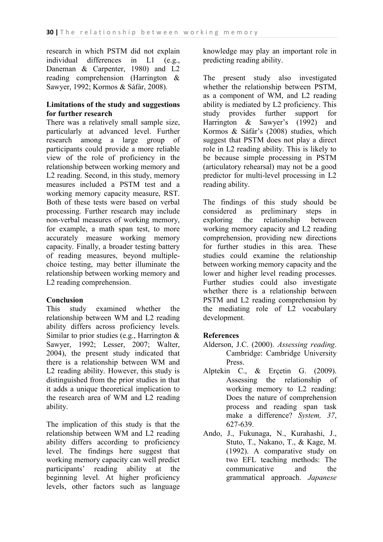research in which PSTM did not explain individual differences in L1 (e.g., Daneman & Carpenter, 1980) and L2 reading comprehension (Harrington & Sawyer, 1992; Kormos & Sáfár, 2008).

### **Limitations of the study and suggestions for further research**

There was a relatively small sample size, particularly at advanced level. Further research among a large group of participants could provide a more reliable view of the role of proficiency in the relationship between working memory and L2 reading. Second, in this study, memory measures included a PSTM test and a working memory capacity measure, RST. Both of these tests were based on verbal processing. Further research may include non-verbal measures of working memory, for example, a math span test, to more accurately measure working memory capacity. Finally, a broader testing battery of reading measures, beyond multiplechoice testing, may better illuminate the relationship between working memory and L2 reading comprehension.

### **Conclusion**

This study examined whether the relationship between WM and L2 reading ability differs across proficiency levels. Similar to prior studies (e.g., Harrington & Sawyer, 1992; Lesser, 2007; Walter, 2004), the present study indicated that there is a relationship between WM and L2 reading ability. However, this study is distinguished from the prior studies in that it adds a unique theoretical implication to the research area of WM and L2 reading ability.

The implication of this study is that the relationship between WM and L2 reading ability differs according to proficiency level. The findings here suggest that working memory capacity can well predict participants' reading ability at the beginning level. At higher proficiency levels, other factors such as language

knowledge may play an important role in predicting reading ability.

The present study also investigated whether the relationship between PSTM, as a component of WM, and L2 reading ability is mediated by L2 proficiency. This study provides further support for Harrington & Sawyer's (1992) and Kormos & Sáfár's (2008) studies, which suggest that PSTM does not play a direct role in L2 reading ability. This is likely to be because simple processing in PSTM (articulatory rehearsal) may not be a good predictor for multi-level processing in L2 reading ability.

The findings of this study should be considered as preliminary steps in exploring the relationship between working memory capacity and L2 reading comprehension, providing new directions for further studies in this area. These studies could examine the relationship between working memory capacity and the lower and higher level reading processes. Further studies could also investigate whether there is a relationship between PSTM and L2 reading comprehension by the mediating role of L2 vocabulary development.

# **References**

- Alderson, J.C. (2000). *Assessing reading*. Cambridge: Cambridge University Press.
- Alptekin C., & Erçetin G. (2009). Assessing the relationship of working memory to L2 reading: Does the nature of comprehension process and reading span task make a difference? *System, 37*, 627-639.
- Ando, J., Fukunaga, N., Kurahashi, J., Stuto, T., Nakano, T., & Kage, M. (1992). A comparative study on two EFL teaching methods: The communicative and the grammatical approach. *Japanese*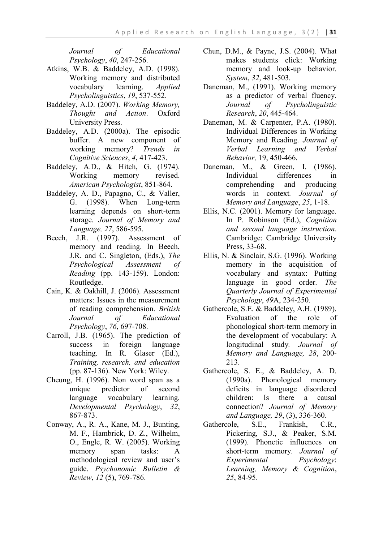*Journal of Educational Psychology*, *40*, 247-256.

- Atkins, W.B. & Baddeley, A.D. (1998). Working memory and distributed vocabulary learning. *Applied Psycholinguistics*, *19*, 537-552.
- Baddeley, A.D. (2007). *Working Memory, Thought and Action*. Oxford University Press.
- Baddeley, A.D. (2000a). The episodic buffer. A new component of working memory? *Trends in Cognitive Sciences*, *4*, 417-423.
- Baddeley, A.D., & Hitch, G. (1974). Working memory revised. *American Psychologist*, 851-864.
- Baddeley, A. D., Papagno, C., & Valler, G. (1998). When Long-term learning depends on short-term storage. *Journal of Memory and Language, 27*, 586-595.
- Beech, J.R. (1997). Assessment of memory and reading. In Beech, J.R. and C. Singleton, (Eds.), *The Psychological Assessment of Reading* (pp. 143-159). London: Routledge.
- Cain, K. & Oakhill, J. (2006). Assessment matters: Issues in the measurement of reading comprehension. *British Journal of Educational Psychology*, *76*, 697-708.
- Carroll, J.B. (1965). The prediction of success in foreign language teaching. In R. Glaser (Ed.), *Training, research, and education* (pp. 87-136). New York: Wiley.
- Cheung, H. (1996). Non word span as a unique predictor of second language vocabulary learning. *Developmental Psychology*, *32*, 867-873.
- Conway, A., R. A., Kane, M. J., Bunting, M. F., Hambrick, D. Z., Wilhelm, O., Engle, R. W. (2005). Working memory span tasks: A methodological review and user's guide. *Psychonomic Bulletin & Review*, *12* (5), 769-786.
- Chun, D.M., & Payne, J.S. (2004). What makes students click: Working memory and look-up behavior. *System*, *32*, 481-503.
- Daneman, M., (1991). Working memory as a predictor of verbal fluency. *Journal of Psycholinguistic Research*, *20*, 445-464.
- Daneman, M. & Carpenter, P.A. (1980). Individual Differences in Working Memory and Reading. *Journal of Verbal Learning and Verbal Behavior,* 19, 450-466.
- Daneman, M., & Green, I. (1986). Individual differences in comprehending and producing words in context*. Journal of Memory and Language*, *25*, 1-18.
- Ellis, N.C. (2001). Memory for language. In P. Robinson (Ed.), *Cognition and second language instruction*. Cambridge: Cambridge University Press, 33-68.
- Ellis, N. & Sinclair, S.G. (1996). Working memory in the acquisition of vocabulary and syntax: Putting language in good order. *The Quarterly Journal of Experimental Psychology*, *49*A, 234-250.
- Gathercole, S.E. & Baddeley, A.H. (1989). Evaluation of the role of phonological short-term memory in the development of vocabulary: A longitudinal study*. Journal of Memory and Language, 28*, 200- 213.
- Gathercole, S. E., & Baddeley, A. D. (1990a). Phonological memory deficits in language disordered children: Is there a causal connection? *Journal of Memory and Language, 29*, (3), 336-360.
- Gathercole, S.E., Frankish, C.R., Pickering, S.J., & Peaker, S.M. (1999). Phonetic influences on short-term memory. *Journal of Experimental Psychology*: *Learning, Memory & Cognition*, *25*, 84-95.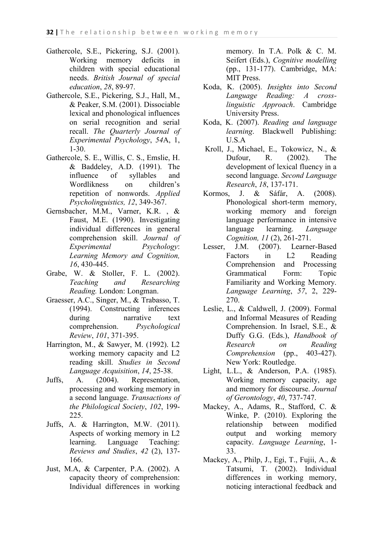- Gathercole, S.E., Pickering, S.J. (2001). Working memory deficits in children with special educational needs. *British Journal of special education*, *28*, 89-97.
- Gathercole, S.E., Pickering, S.J., Hall, M., & Peaker, S.M. (2001). Dissociable lexical and phonological influences on serial recognition and serial recall. *The Quarterly Journal of Experimental Psychology*, *54*A, 1, 1-30.
- Gathercole, S. E., Willis, C. S., Emslie, H. & Baddeley, A.D. (1991). The influence of syllables and Wordlikness on children's repetition of nonwords. *Applied Psycholinguistics, 12*, 349-367.
- Gernsbacher, M.M., Varner, K.R. , & Faust, M.E. (1990). Investigating individual differences in general comprehension skill. *Journal of Experimental Psychology*: *Learning Memory and Cognition, 16*, 430-445.
- Grabe, W. & Stoller, F. L. (2002). *Teaching and Researching Reading.* London: Longman.
- Graesser, A.C., Singer, M., & Trabasso, T. (1994). Constructing inferences during narrative text comprehension. *Psychological Review*, *101*, 371-395.
- Harrington, M., & Sawyer, M. (1992). L2 working memory capacity and L2 reading skill. *Studies in Second Language Acquisition*, *14*, 25-38.
- Juffs, A. (2004). Representation, processing and working memory in a second language. *Transactions of the Philological Society*, *102*, 199- 225.
- Juffs, A. & Harrington, M.W. (2011). Aspects of working memory in L2 learning. Language Teaching: *Reviews and Studies*, *42* (2), 137- 166.
- Just, M.A, & Carpenter, P.A. (2002). A capacity theory of comprehension: Individual differences in working

memory. In T.A. Polk & C. M. Seifert (Eds.), *Cognitive modelling* (pp., 131-177). Cambridge, MA: MIT Press.

- Koda, K. (2005). *Insights into Second Language Reading: A crosslinguistic Approach*. Cambridge University Press.
- Koda, K. (2007). *Reading and language learning*. Blackwell Publishing: U.S.A
- Kroll, J., Michael, E., Tokowicz, N., & Dufour, R. (2002). The development of lexical fluency in a second language. *Second Language Research*, *18*, 137-171.
- Kormos, J. & Sáfár, A. (2008). Phonological short-term memory, working memory and foreign language performance in intensive language learning. *Language Cognition, 11* (2), 261-271.
- Lesser, J.M. (2007). Learner-Based Factors in L2 Reading Comprehension and Processing Grammatical Form: Topic Familiarity and Working Memory. *Language Learning*, *57*, 2, 229- 270.
- Leslie, L., & Caldwell, J. (2009). Formal and Informal Measures of Reading Comprehension. In Israel, S.E., & Duffy G.G. (Eds.), *Handbook of Research on Reading Comprehension* (pp., 403-427). New York: Routledge.
- Light, L.L., & Anderson, P.A. (1985). Working memory capacity, age and memory for discourse. *Journal of Gerontology*, *40*, 737-747.
- Mackey, A., Adams, R., Stafford, C. & Winke, P. (2010). Exploring the relationship between modified output and working memory capacity. *Language Learning*, 1- 33.
- Mackey, A., Philp, J., Egi, T., Fujii, A., & Tatsumi, T. (2002). Individual differences in working memory, noticing interactional feedback and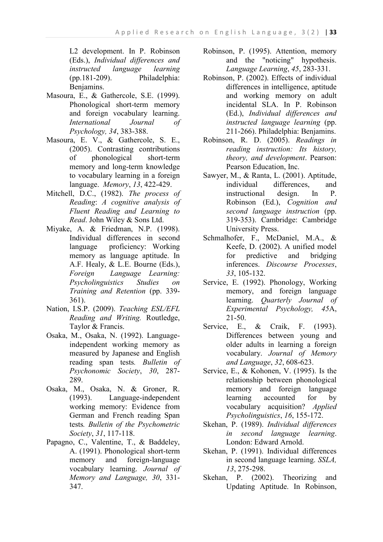L2 development. In P. Robinson (Eds.), *Individual differences and instructed language learning* (pp.181-209). Philadelphia: Benjamins.

- Masoura, E., & Gathercole, S.E. (1999). Phonological short-term memory and foreign vocabulary learning. *International Journal of Psychology, 34*, 383-388.
- Masoura, E. V., & Gathercole, S. E., (2005). Contrasting contributions of phonological short-term memory and long-term knowledge to vocabulary learning in a foreign language. *Memory*, *13*, 422-429.
- Mitchell, D.C., (1982). *The process of Reading*: *A cognitive analysis of Fluent Reading and Learning to Read*. John Wiley & Sons Ltd.
- Miyake, A. & Friedman, N.P. (1998). Individual differences in second language proficiency: Working memory as language aptitude. In A.F. Healy, & L.E. Bourne (Eds.), *Foreign Language Learning: Psycholinguistics Studies on Training and Retention* (pp. 339- 361).
- Nation, I.S.P. (2009). *Teaching ESL/EFL Reading and Writing.* Routledge, Taylor & Francis.
- Osaka, M., Osaka, N. (1992). Languageindependent working memory as measured by Japanese and English reading span tests*. Bulletin of Psychonomic Society*, *30*, 287- 289.
- Osaka, M., Osaka, N. & Groner, R. (1993). Language-independent working memory: Evidence from German and French reading Span tests*. Bulletin of the Psychometric Society*, *31*, 117-118.
- Papagno, C., Valentine, T., & Baddeley, A. (1991). Phonological short-term memory and foreign-language vocabulary learning. *Journal of Memory and Language, 30*, 331- 347.
- Robinson, P. (1995). Attention, memory and the "noticing" hypothesis. *Language Learning*, *45*, 283-331.
- Robinson, P. (2002). Effects of individual differences in intelligence, aptitude and working memory on adult incidental SLA. In P. Robinson (Ed.), *Individual differences and instructed language learning* (pp. 211-266). Philadelphia: Benjamins.
- Robinson, R. D. (2005). *Readings in reading instruction: Its history, theory, and development*. Pearson: Pearson Education, Inc.
- Sawyer, M., & Ranta, L. (2001). Aptitude, individual differences, and instructional design. In P. Robinson (Ed.), *Cognition and second language instruction* (pp. 319-353). Cambridge: Cambridge University Press.
- Schmalhofer, F., McDaniel, M.A., & Keefe, D. (2002). A unified model for predictive and bridging inferences. *Discourse Processes*, *33*, 105-132.
- Service, E. (1992). Phonology, Working memory, and foreign language learning. *Quarterly Journal of Experimental Psychology, 45*A, 21-50.
- Service, E., & Craik, F. (1993). Differences between young and older adults in learning a foreign vocabulary. *Journal of Memory and Language*, *32*, 608-623.
- Service, E., & Kohonen, V. (1995). Is the relationship between phonological memory and foreign language learning accounted for by vocabulary acquisition? *Applied Psycholinguistics*, *16*, 155-172.
- Skehan, P. (1989). *Individual differences in second language learning*. London: Edward Arnold.
- Skehan, P. (1991). Individual differences in second language learning. *SSLA, 13*, 275-298.
- Skehan, P. (2002). Theorizing and Updating Aptitude. In Robinson,